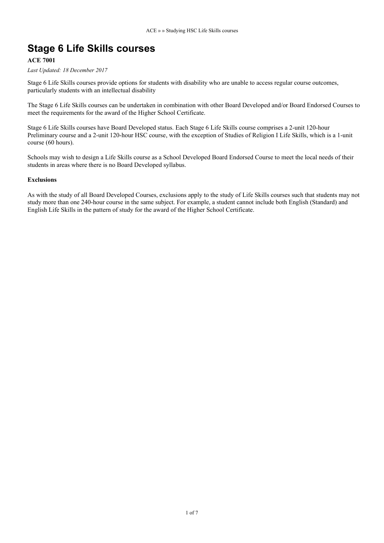## **Stage 6 Life Skills courses**

### **ACE 7001**

*Last Updated: 18 December 2017*

Stage 6 Life Skills courses provide options for students with disability who are unable to access regular course outcomes, particularly students with an intellectual disability

The Stage 6 Life Skills courses can be undertaken in combination with other Board Developed and/or Board Endorsed Courses to meet the requirements for the award of the Higher School Certificate.

Stage 6 Life Skills courses have Board Developed status. Each Stage 6 Life Skills course comprises a 2-unit 120-hour Preliminary course and a 2-unit 120-hour HSC course, with the exception of Studies of Religion I Life Skills, which is a 1-unit course (60 hours).

Schools may wish to design a Life Skills course as a School Developed Board Endorsed Course to meet the local needs of their students in areas where there is no Board Developed syllabus.

#### **Exclusions**

As with the study of all Board Developed Courses, exclusions apply to the study of Life Skills courses such that students may not study more than one 240-hour course in the same subject. For example, a student cannot include both English (Standard) and English Life Skills in the pattern of study for the award of the Higher School Certificate.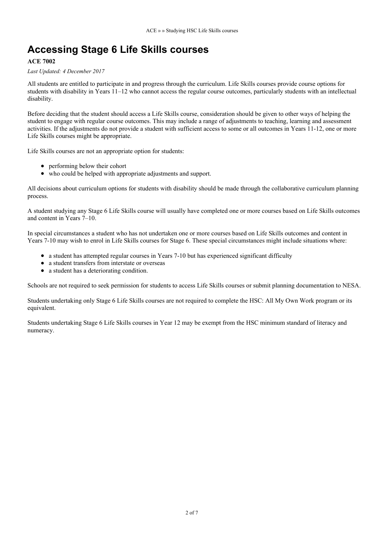# **Accessing Stage 6 Life Skills courses**

### **ACE 7002**

#### *Last Updated: 4 December 2017*

All students are entitled to participate in and progress through the curriculum. Life Skills courses provide course options for students with disability in Years 11–12 who cannot access the regular course outcomes, particularly students with an intellectual disability.

Before deciding that the student should access a Life Skills course, consideration should be given to other ways of helping the student to engage with regular course outcomes. This may include a range of adjustments to teaching, learning and assessment activities. If the adjustments do not provide a student with sufficient access to some or all outcomes in Years 11-12, one or more Life Skills courses might be appropriate.

Life Skills courses are not an appropriate option for students:

- performing below their cohort
- who could be helped with appropriate adjustments and support.

All decisions about curriculum options for students with disability should be made through the collaborative curriculum planning process.

A student studying any Stage 6 Life Skills course will usually have completed one or more courses based on Life Skills outcomes and content in Years 7–10.

In special circumstances a student who has not undertaken one or more courses based on Life Skills outcomes and content in Years 7-10 may wish to enrol in Life Skills courses for Stage 6. These special circumstances might include situations where:

- a student has attempted regular courses in Years 7-10 but has experienced significant difficulty
- a student transfers from interstate or overseas
- a student has a deteriorating condition.

Schools are not required to seek permission for students to access Life Skills courses or submit planning documentation to NESA.

Students undertaking only Stage 6 Life Skills courses are not required to complete the HSC: All My Own Work program or its equivalent.

Students undertaking Stage 6 Life Skills courses in Year 12 may be exempt from the HSC minimum standard of literacy and numeracy.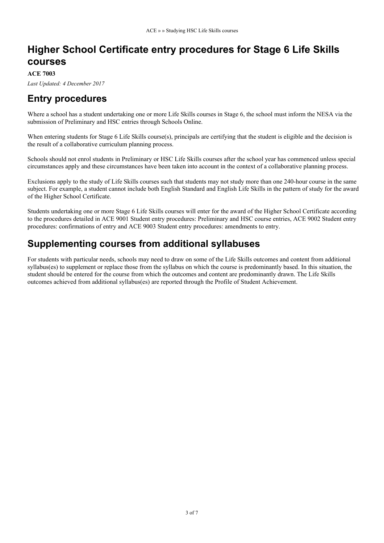## **Higher School Certificate entry procedures for Stage 6 Life Skills courses**

**ACE 7003**

*Last Updated: 4 December 2017*

## **Entry procedures**

Where a school has a student undertaking one or more Life Skills courses in Stage 6, the school must inform the NESA via the submission of Preliminary and HSC entries through Schools Online.

When entering students for Stage 6 Life Skills course(s), principals are certifying that the student is eligible and the decision is the result of a collaborative curriculum planning process.

Schools should not enrol students in Preliminary or HSC Life Skills courses after the school year has commenced unless special circumstances apply and these circumstances have been taken into account in the context of a collaborative planning process.

Exclusions apply to the study of Life Skills courses such that students may not study more than one 240-hour course in the same subject. For example, a student cannot include both English Standard and English Life Skills in the pattern of study for the award of the Higher School Certificate.

Students undertaking one or more Stage 6 Life Skills courses will enter for the award of the Higher School Certificate according to the procedures detailed in ACE 9001 Student entry procedures: Preliminary and HSC course entries, ACE 9002 Student entry procedures: confirmations of entry and ACE 9003 Student entry procedures: amendments to entry.

## **Supplementing courses from additional syllabuses**

For students with particular needs, schools may need to draw on some of the Life Skills outcomes and content from additional syllabus(es) to supplement or replace those from the syllabus on which the course is predominantly based. In this situation, the student should be entered for the course from which the outcomes and content are predominantly drawn. The Life Skills outcomes achieved from additional syllabus(es) are reported through the Profile of Student Achievement.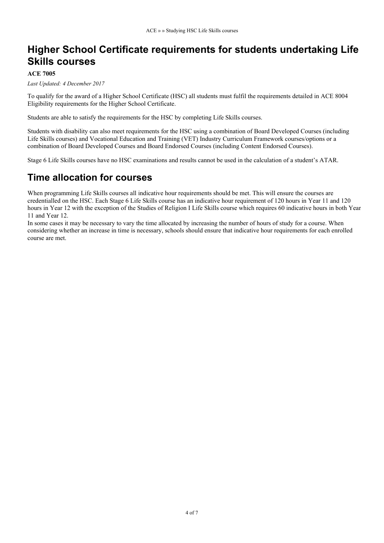## **Higher School Certificate requirements for students undertaking Life Skills courses**

#### **ACE 7005**

*Last Updated: 4 December 2017*

To qualify for the award of a Higher School Certificate (HSC) all students must fulfil the requirements detailed in ACE 8004 Eligibility requirements for the Higher School Certificate.

Students are able to satisfy the requirements for the HSC by completing Life Skills courses.

Students with disability can also meet requirements for the HSC using a combination of Board Developed Courses (including Life Skills courses) and Vocational Education and Training (VET) Industry Curriculum Framework courses/options or a combination of Board Developed Courses and Board Endorsed Courses (including Content Endorsed Courses).

Stage 6 Life Skills courses have no HSC examinations and results cannot be used in the calculation of a student's ATAR.

## **Time allocation for courses**

When programming Life Skills courses all indicative hour requirements should be met. This will ensure the courses are credentialled on the HSC. Each Stage 6 Life Skills course has an indicative hour requirement of 120 hours in Year 11 and 120 hours in Year 12 with the exception of the Studies of Religion I Life Skills course which requires 60 indicative hours in both Year 11 and Year 12.

In some cases it may be necessary to vary the time allocated by increasing the number of hours of study for a course. When considering whether an increase in time is necessary, schools should ensure that indicative hour requirements for each enrolled course are met.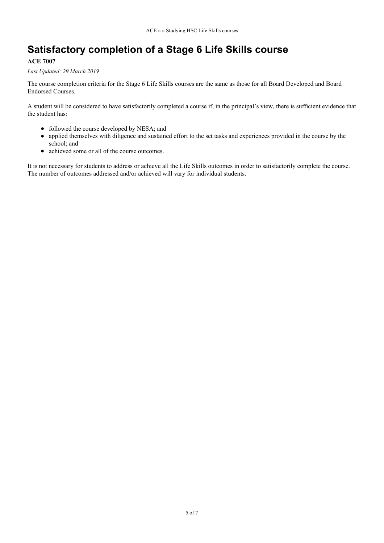# **Satisfactory completion of a Stage 6 Life Skills course**

### **ACE 7007**

*Last Updated: 29 March 2019*

The course completion criteria for the Stage 6 Life Skills courses are the same as those for all Board Developed and Board Endorsed Courses.

A student will be considered to have satisfactorily completed a course if, in the principal's view, there is sufficient evidence that the student has:

- followed the course developed by NESA; and
- applied themselves with diligence and sustained effort to the set tasks and experiences provided in the course by the school; and
- achieved some or all of the course outcomes.

It is not necessary for students to address or achieve all the Life Skills outcomes in order to satisfactorily complete the course. The number of outcomes addressed and/or achieved will vary for individual students.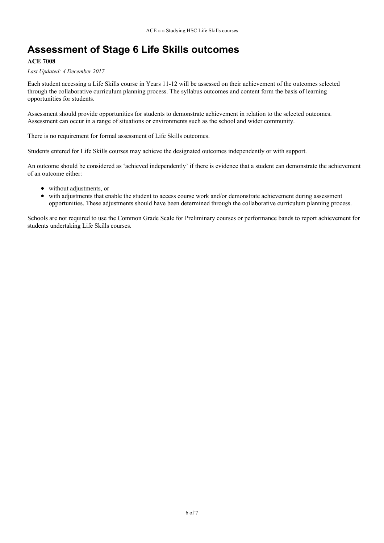# **Assessment of Stage 6 Life Skills outcomes**

#### **ACE 7008**

*Last Updated: 4 December 2017*

Each student accessing a Life Skills course in Years 11-12 will be assessed on their achievement of the outcomes selected through the collaborative curriculum planning process. The syllabus outcomes and content form the basis of learning opportunities for students.

Assessment should provide opportunities for students to demonstrate achievement in relation to the selected outcomes. Assessment can occur in a range of situations or environments such as the school and wider community.

There is no requirement for formal assessment of Life Skills outcomes.

Students entered for Life Skills courses may achieve the designated outcomes independently or with support.

An outcome should be considered as 'achieved independently' if there is evidence that a student can demonstrate the achievement of an outcome either:

- without adjustments, or
- with adjustments that enable the student to access course work and/or demonstrate achievement during assessment opportunities. These adjustments should have been determined through the collaborative curriculum planning process.

Schools are not required to use the Common Grade Scale for Preliminary courses or performance bands to report achievement for students undertaking Life Skills courses.